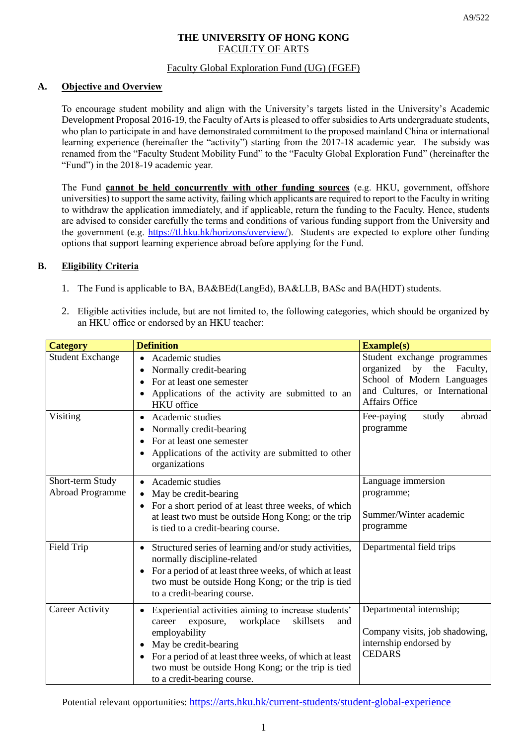# **THE UNIVERSITY OF HONG KONG** FACULTY OF ARTS

## Faculty Global Exploration Fund (UG) (FGEF)

## **A. Objective and Overview**

To encourage student mobility and align with the University's targets listed in the University's Academic Development Proposal 2016-19, the Faculty of Arts is pleased to offer subsidies to Arts undergraduate students, who plan to participate in and have demonstrated commitment to the proposed mainland China or international learning experience (hereinafter the "activity") starting from the 2017-18 academic year. The subsidy was renamed from the "Faculty Student Mobility Fund" to the "Faculty Global Exploration Fund" (hereinafter the "Fund") in the 2018-19 academic year.

The Fund **cannot be held concurrently with other funding sources** (e.g. HKU, government, offshore universities) to support the same activity, failing which applicants are required to report to the Faculty in writing to withdraw the application immediately, and if applicable, return the funding to the Faculty. Hence, students are advised to consider carefully the terms and conditions of various funding support from the University and the government (e.g. [https://tl.hku.hk/horizons/overview/\)](https://tl.hku.hk/horizons/overview/). Students are expected to explore other funding options that support learning experience abroad before applying for the Fund.

### **B. Eligibility Criteria**

- 1. The Fund is applicable to BA, BA&BEd(LangEd), BA&LLB, BASc and BA(HDT) students.
- 2. Eligible activities include, but are not limited to, the following categories, which should be organized by an HKU office or endorsed by an HKU teacher:

| <b>Category</b>                             | <b>Definition</b>                                                                                                                                                                                                                                                                                                   | <b>Example(s)</b>                                                                                                                                 |
|---------------------------------------------|---------------------------------------------------------------------------------------------------------------------------------------------------------------------------------------------------------------------------------------------------------------------------------------------------------------------|---------------------------------------------------------------------------------------------------------------------------------------------------|
| <b>Student Exchange</b>                     | Academic studies<br>Normally credit-bearing<br>For at least one semester<br>Applications of the activity are submitted to an<br><b>HKU</b> office                                                                                                                                                                   | Student exchange programmes<br>organized by the Faculty,<br>School of Modern Languages<br>and Cultures, or International<br><b>Affairs Office</b> |
| Visiting                                    | Academic studies<br>$\bullet$<br>Normally credit-bearing<br>For at least one semester<br>Applications of the activity are submitted to other<br>organizations                                                                                                                                                       | study<br>abroad<br>Fee-paying<br>programme                                                                                                        |
| Short-term Study<br><b>Abroad Programme</b> | Academic studies<br>May be credit-bearing<br>For a short period of at least three weeks, of which<br>$\bullet$<br>at least two must be outside Hong Kong; or the trip<br>is tied to a credit-bearing course.                                                                                                        | Language immersion<br>programme;<br>Summer/Winter academic<br>programme                                                                           |
| Field Trip                                  | Structured series of learning and/or study activities,<br>normally discipline-related<br>For a period of at least three weeks, of which at least<br>$\bullet$<br>two must be outside Hong Kong; or the trip is tied<br>to a credit-bearing course.                                                                  | Departmental field trips                                                                                                                          |
| <b>Career Activity</b>                      | Experiential activities aiming to increase students'<br>workplace<br>skillsets<br>exposure,<br>career<br>and<br>employability<br>May be credit-bearing<br>For a period of at least three weeks, of which at least<br>$\bullet$<br>two must be outside Hong Kong; or the trip is tied<br>to a credit-bearing course. | Departmental internship;<br>Company visits, job shadowing,<br>internship endorsed by<br><b>CEDARS</b>                                             |

Potential relevant opportunities: <https://arts.hku.hk/current-students/student-global-experience>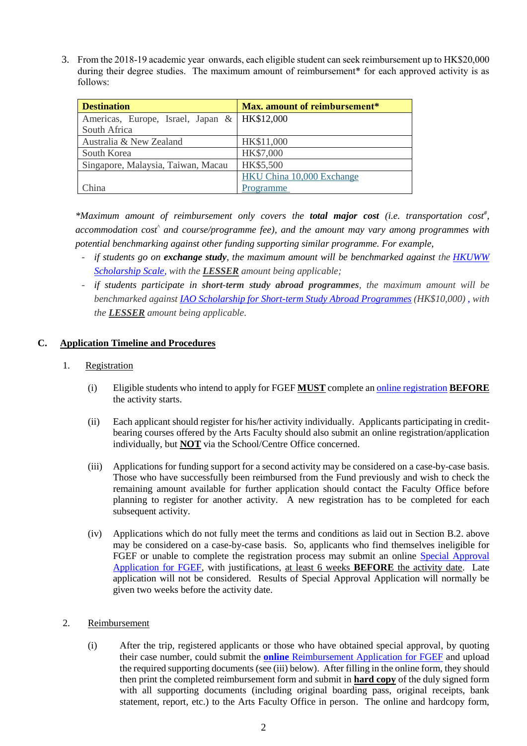3. From the 2018-19 academic year onwards, each eligible student can seek reimbursement up to HK\$20,000 during their degree studies. The maximum amount of reimbursement<sup>\*</sup> for each approved activity is as follows:

| <b>Destination</b>                             | Max. amount of reimbursement* |  |
|------------------------------------------------|-------------------------------|--|
| Americas, Europe, Israel, Japan &   HK\$12,000 |                               |  |
| South Africa                                   |                               |  |
| Australia & New Zealand                        | HK\$11,000                    |  |
| South Korea                                    | HK\$7,000                     |  |
| Singapore, Malaysia, Taiwan, Macau             | HK\$5,500                     |  |
|                                                | HKU China 10,000 Exchange     |  |
| China                                          | Programme                     |  |

*\*Maximum amount of reimbursement only covers the total major cost (i.e. transportation cost# , accommodation cost^ and course/programme fee), and the amount may vary among programmes with potential benchmarking against other funding supporting similar programme. For example,*

- *if students go on exchange study, the maximum amount will be benchmarked against the [HKUWW](https://intlaffairs.hku.hk/support.php?pid=1&type=outgoing)  [Scholarship Scale,](https://intlaffairs.hku.hk/support.php?pid=1&type=outgoing) with the LESSER amount being applicable;*
- *if students participate in short-term study abroad programmes, the maximum amount will be benchmarked against [IAO Scholarship for Short-term Study Abroad Programmes](https://intlaffairs.hku.hk/avail_program.php?pid=9&type=outgoing) (HK\$10,000) , with the LESSER amount being applicable.*

### **C. Application Timeline and Procedures**

#### 1. Registration

- (i) Eligible students who intend to apply for FGEF **MUST** complete a[n online registration](https://foarts.hku.hk/student/users/login_btn) **BEFORE** the activity starts.
- (ii) Each applicant should register for his/her activity individually. Applicants participating in creditbearing courses offered by the Arts Faculty should also submit an online registration/application individually, but **NOT** via the School/Centre Office concerned.
- (iii) Applications for funding support for a second activity may be considered on a case-by-case basis. Those who have successfully been reimbursed from the Fund previously and wish to check the remaining amount available for further application should contact the Faculty Office before planning to register for another activity. A new registration has to be completed for each subsequent activity.
- (iv) Applications which do not fully meet the terms and conditions as laid out in Section B.2. above may be considered on a case-by-case basis. So, applicants who find themselves ineligible for FGEF or unable to complete the registration process may submit an online [Special Approval](http://arts.hku.hk/link/fgef_pa.html)  [Application for FGEF,](http://arts.hku.hk/link/fgef_pa.html) with justifications, at least 6 weeks **BEFORE** the activity date. Late application will not be considered. Results of Special Approval Application will normally be given two weeks before the activity date.

#### 2. Reimbursement

(i) After the trip, registered applicants or those who have obtained special approval, by quoting their case number, could submit the **online** [Reimbursement Application](http://arts.hku.hk/link/fgef_rb.html) for FGEF and upload the required supporting documents (see (iii) below). After filling in the online form, they should then print the completed reimbursement form and submit in **hard copy** of the duly signed form with all supporting documents (including original boarding pass, original receipts, bank statement, report, etc.) to the Arts Faculty Office in person. The online and hardcopy form,